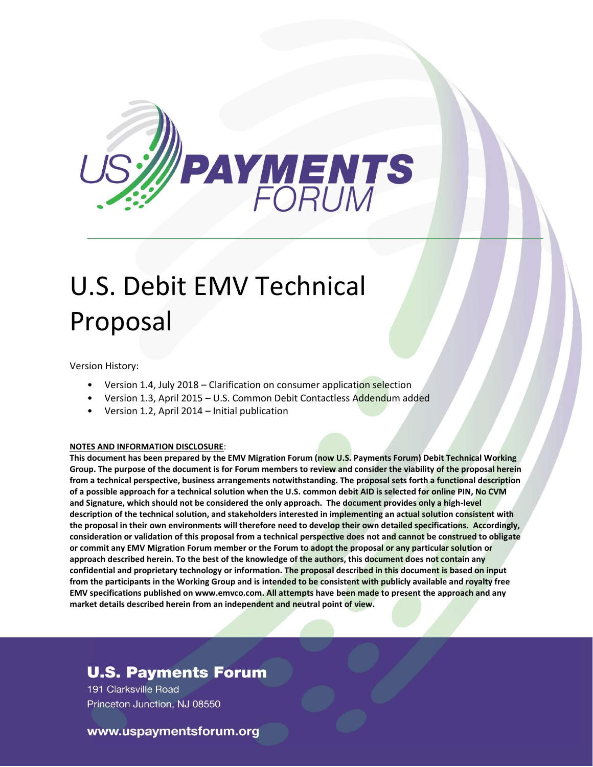

# U.S. Debit EMV Technical Proposal

Version History:

- Version 1.4, July 2018 Clarification on consumer application selection
- Version 1.3, April 2015 U.S. Common Debit Contactless Addendum added
- Version 1.2, April 2014 Initial publication

#### **NOTES AND INFORMATION DISCLOSURE**:

**This document has been prepared by the EMV Migration Forum (now U.S. Payments Forum) Debit Technical Working Group. The purpose of the document is for Forum members to review and consider the viability of the proposal herein from a technical perspective, business arrangements notwithstanding. The proposal sets forth a functional description of a possible approach for a technical solution when the U.S. common debit AID is selected for online PIN, No CVM and Signature, which should not be considered the only approach. The document provides only a high-level description of the technical solution, and stakeholders interested in implementing an actual solution consistent with the proposal in their own environments will therefore need to develop their own detailed specifications. Accordingly, consideration or validation of this proposal from a technical perspective does not and cannot be construed to obligate or commit any EMV Migration Forum member or the Forum to adopt the proposal or any particular solution or approach described herein. To the best of the knowledge of the authors, this document does not contain any confidential and proprietary technology or information. The proposal described in this document is based on input from the participants in the Working Group and is intended to be consistent with publicly available and royalty free EMV specifications published on www.emvco.com. All attempts have been made to present the approach and any market details described herein from an independent and neutral point of view.**

## **U.S. Payments Forum**

191 Clarksville Road Princeton Junction, NJ 08550

#### www.uspaymentsforum.org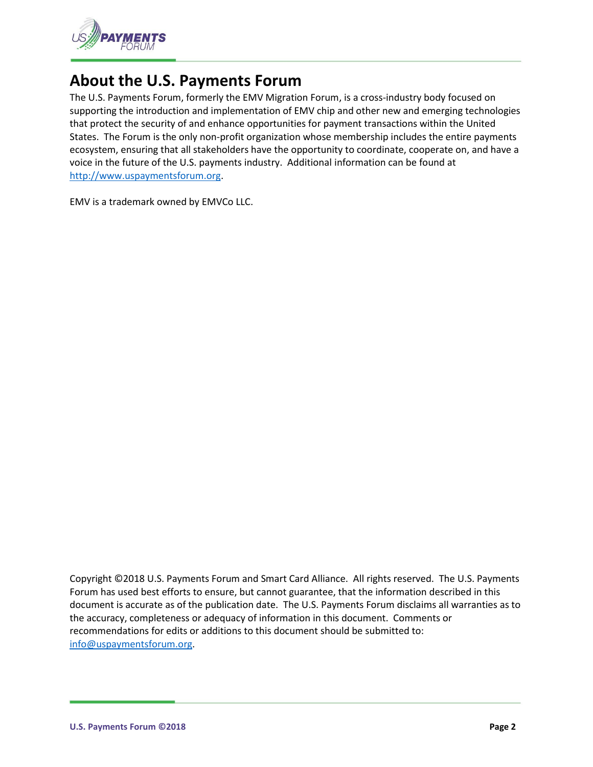

# **About the U.S. Payments Forum**

The U.S. Payments Forum, formerly the EMV Migration Forum, is a cross-industry body focused on supporting the introduction and implementation of EMV chip and other new and emerging technologies that protect the security of and enhance opportunities for payment transactions within the United States. The Forum is the only non-profit organization whose membership includes the entire payments ecosystem, ensuring that all stakeholders have the opportunity to coordinate, cooperate on, and have a voice in the future of the U.S. payments industry. Additional information can be found at [http://www.uspaymentsforum.org.](http://www.uspaymentsforum.org/)

EMV is a trademark owned by EMVCo LLC.

Copyright ©2018 U.S. Payments Forum and Smart Card Alliance. All rights reserved. The U.S. Payments Forum has used best efforts to ensure, but cannot guarantee, that the information described in this document is accurate as of the publication date. The U.S. Payments Forum disclaims all warranties as to the accuracy, completeness or adequacy of information in this document. Comments or recommendations for edits or additions to this document should be submitted to: [info@uspaymentsforum.org.](mailto:info@uspaymentsforum.org)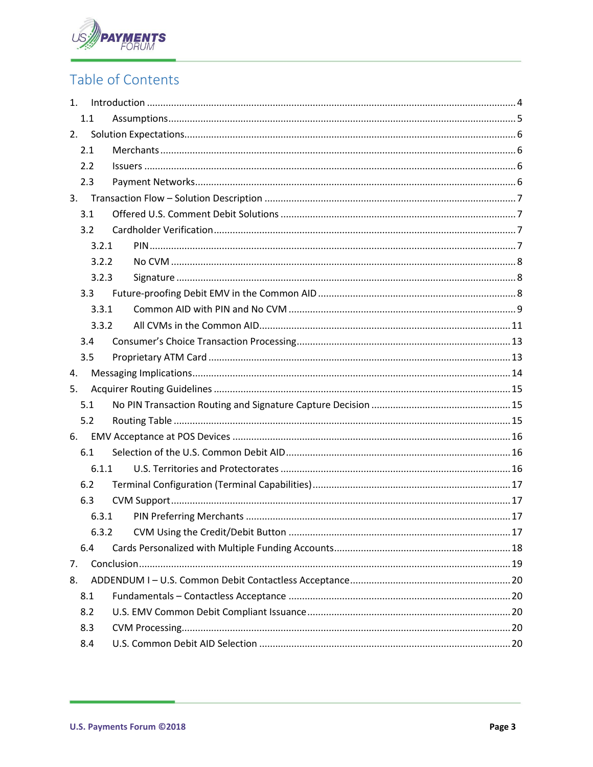

# Table of Contents

| 1.    |       |  |  |  |  |  |
|-------|-------|--|--|--|--|--|
| 1.1   |       |  |  |  |  |  |
| 2.    |       |  |  |  |  |  |
| 2.1   |       |  |  |  |  |  |
| 2.2   |       |  |  |  |  |  |
| 2.3   |       |  |  |  |  |  |
|       |       |  |  |  |  |  |
| 3.1   |       |  |  |  |  |  |
| 3.2   |       |  |  |  |  |  |
| 3.2.1 |       |  |  |  |  |  |
| 3.2.2 |       |  |  |  |  |  |
| 3.2.3 |       |  |  |  |  |  |
| 3.3   |       |  |  |  |  |  |
| 3.3.1 |       |  |  |  |  |  |
| 3.3.2 |       |  |  |  |  |  |
| 3.4   |       |  |  |  |  |  |
| 3.5   |       |  |  |  |  |  |
| 4.    |       |  |  |  |  |  |
| 5.    |       |  |  |  |  |  |
| 5.1   |       |  |  |  |  |  |
| 5.2   |       |  |  |  |  |  |
| 6.    |       |  |  |  |  |  |
| 6.1   |       |  |  |  |  |  |
| 6.1.1 |       |  |  |  |  |  |
| 6.2   |       |  |  |  |  |  |
| 6.3   |       |  |  |  |  |  |
|       | 6.3.1 |  |  |  |  |  |
|       |       |  |  |  |  |  |
| 6.4   |       |  |  |  |  |  |
| 7.    |       |  |  |  |  |  |
| 8.    |       |  |  |  |  |  |
| 8.1   |       |  |  |  |  |  |
| 8.2   |       |  |  |  |  |  |
| 8.3   |       |  |  |  |  |  |
| 8.4   |       |  |  |  |  |  |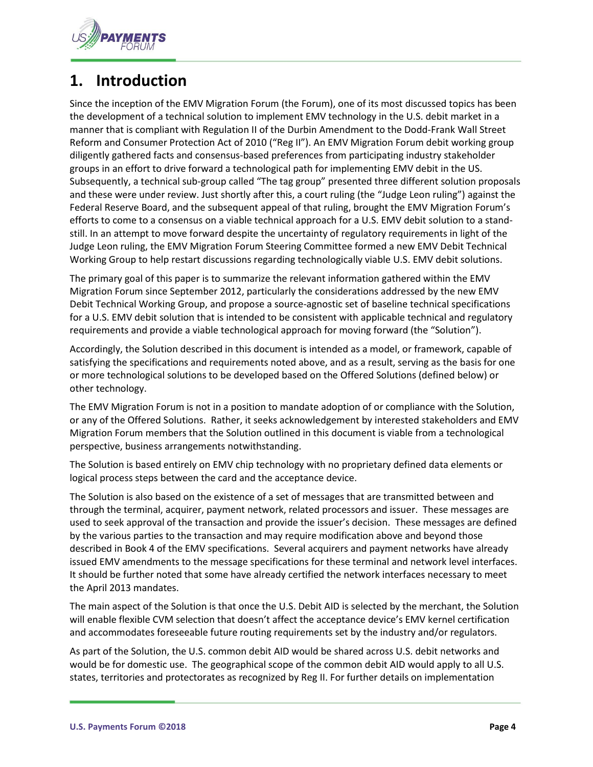

# <span id="page-3-0"></span>**1. Introduction**

Since the inception of the EMV Migration Forum (the Forum), one of its most discussed topics has been the development of a technical solution to implement EMV technology in the U.S. debit market in a manner that is compliant with Regulation II of the Durbin Amendment to the Dodd-Frank Wall Street Reform and Consumer Protection Act of 2010 ("Reg II"). An EMV Migration Forum debit working group diligently gathered facts and consensus-based preferences from participating industry stakeholder groups in an effort to drive forward a technological path for implementing EMV debit in the US. Subsequently, a technical sub-group called "The tag group" presented three different solution proposals and these were under review. Just shortly after this, a court ruling (the "Judge Leon ruling") against the Federal Reserve Board, and the subsequent appeal of that ruling, brought the EMV Migration Forum's efforts to come to a consensus on a viable technical approach for a U.S. EMV debit solution to a standstill. In an attempt to move forward despite the uncertainty of regulatory requirements in light of the Judge Leon ruling, the EMV Migration Forum Steering Committee formed a new EMV Debit Technical Working Group to help restart discussions regarding technologically viable U.S. EMV debit solutions.

The primary goal of this paper is to summarize the relevant information gathered within the EMV Migration Forum since September 2012, particularly the considerations addressed by the new EMV Debit Technical Working Group, and propose a source-agnostic set of baseline technical specifications for a U.S. EMV debit solution that is intended to be consistent with applicable technical and regulatory requirements and provide a viable technological approach for moving forward (the "Solution").

Accordingly, the Solution described in this document is intended as a model, or framework, capable of satisfying the specifications and requirements noted above, and as a result, serving as the basis for one or more technological solutions to be developed based on the Offered Solutions (defined below) or other technology.

The EMV Migration Forum is not in a position to mandate adoption of or compliance with the Solution, or any of the Offered Solutions. Rather, it seeks acknowledgement by interested stakeholders and EMV Migration Forum members that the Solution outlined in this document is viable from a technological perspective, business arrangements notwithstanding.

The Solution is based entirely on EMV chip technology with no proprietary defined data elements or logical process steps between the card and the acceptance device.

The Solution is also based on the existence of a set of messages that are transmitted between and through the terminal, acquirer, payment network, related processors and issuer. These messages are used to seek approval of the transaction and provide the issuer's decision. These messages are defined by the various parties to the transaction and may require modification above and beyond those described in Book 4 of the EMV specifications. Several acquirers and payment networks have already issued EMV amendments to the message specifications for these terminal and network level interfaces. It should be further noted that some have already certified the network interfaces necessary to meet the April 2013 mandates.

The main aspect of the Solution is that once the U.S. Debit AID is selected by the merchant, the Solution will enable flexible CVM selection that doesn't affect the acceptance device's EMV kernel certification and accommodates foreseeable future routing requirements set by the industry and/or regulators.

As part of the Solution, the U.S. common debit AID would be shared across U.S. debit networks and would be for domestic use. The geographical scope of the common debit AID would apply to all U.S. states, territories and protectorates as recognized by Reg II. For further details on implementation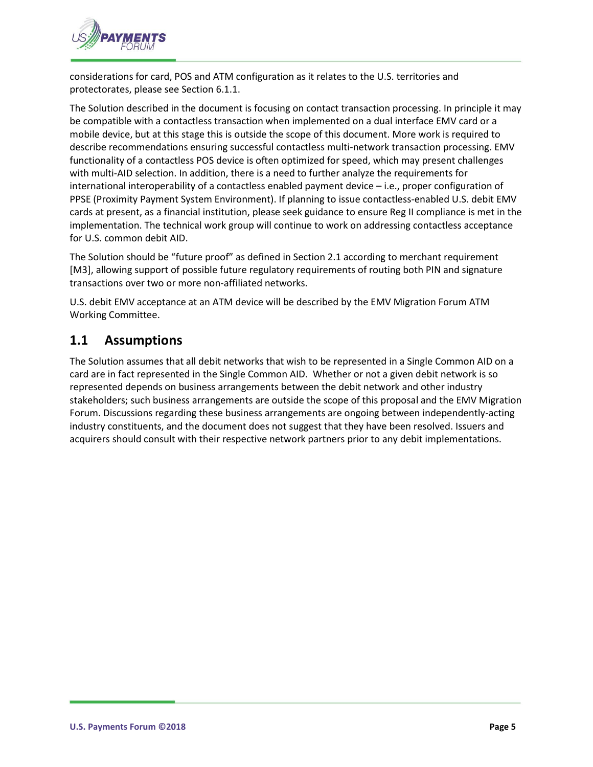

considerations for card, POS and ATM configuration as it relates to the U.S. territories and protectorates, please see Section 6.1.1.

The Solution described in the document is focusing on contact transaction processing. In principle it may be compatible with a contactless transaction when implemented on a dual interface EMV card or a mobile device, but at this stage this is outside the scope of this document. More work is required to describe recommendations ensuring successful contactless multi-network transaction processing. EMV functionality of a contactless POS device is often optimized for speed, which may present challenges with multi-AID selection. In addition, there is a need to further analyze the requirements for international interoperability of a contactless enabled payment device – i.e., proper configuration of PPSE (Proximity Payment System Environment). If planning to issue contactless-enabled U.S. debit EMV cards at present, as a financial institution, please seek guidance to ensure Reg II compliance is met in the implementation. The technical work group will continue to work on addressing contactless acceptance for U.S. common debit AID.

The Solution should be "future proof" as defined in Section 2.1 according to merchant requirement [M3], allowing support of possible future regulatory requirements of routing both PIN and signature transactions over two or more non-affiliated networks.

U.S. debit EMV acceptance at an ATM device will be described by the EMV Migration Forum ATM Working Committee.

## <span id="page-4-0"></span>**1.1 Assumptions**

The Solution assumes that all debit networks that wish to be represented in a Single Common AID on a card are in fact represented in the Single Common AID. Whether or not a given debit network is so represented depends on business arrangements between the debit network and other industry stakeholders; such business arrangements are outside the scope of this proposal and the EMV Migration Forum. Discussions regarding these business arrangements are ongoing between independently-acting industry constituents, and the document does not suggest that they have been resolved. Issuers and acquirers should consult with their respective network partners prior to any debit implementations.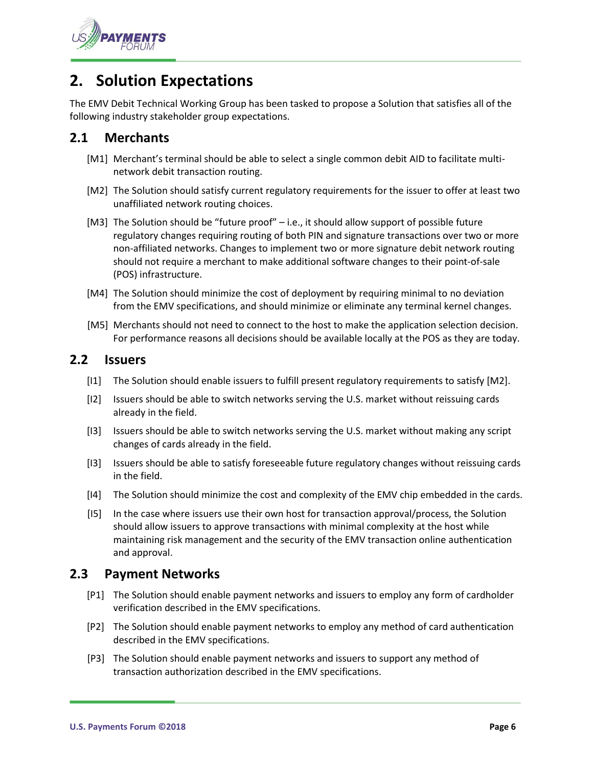

# <span id="page-5-0"></span>**2. Solution Expectations**

The EMV Debit Technical Working Group has been tasked to propose a Solution that satisfies all of the following industry stakeholder group expectations.

#### <span id="page-5-1"></span>**2.1 Merchants**

- [M1] Merchant's terminal should be able to select a single common debit AID to facilitate multinetwork debit transaction routing.
- [M2] The Solution should satisfy current regulatory requirements for the issuer to offer at least two unaffiliated network routing choices.
- [M3] The Solution should be "future proof" i.e., it should allow support of possible future regulatory changes requiring routing of both PIN and signature transactions over two or more non-affiliated networks. Changes to implement two or more signature debit network routing should not require a merchant to make additional software changes to their point-of-sale (POS) infrastructure.
- [M4] The Solution should minimize the cost of deployment by requiring minimal to no deviation from the EMV specifications, and should minimize or eliminate any terminal kernel changes.
- [M5] Merchants should not need to connect to the host to make the application selection decision. For performance reasons all decisions should be available locally at the POS as they are today.

#### <span id="page-5-2"></span>**2.2 Issuers**

- [I1] The Solution should enable issuers to fulfill present regulatory requirements to satisfy [M2].
- [I2] Issuers should be able to switch networks serving the U.S. market without reissuing cards already in the field.
- [I3] Issuers should be able to switch networks serving the U.S. market without making any script changes of cards already in the field.
- [I3] Issuers should be able to satisfy foreseeable future regulatory changes without reissuing cards in the field.
- [I4] The Solution should minimize the cost and complexity of the EMV chip embedded in the cards.
- [I5] In the case where issuers use their own host for transaction approval/process, the Solution should allow issuers to approve transactions with minimal complexity at the host while maintaining risk management and the security of the EMV transaction online authentication and approval.

#### <span id="page-5-3"></span>**2.3 Payment Networks**

- [P1] The Solution should enable payment networks and issuers to employ any form of cardholder verification described in the EMV specifications.
- [P2] The Solution should enable payment networks to employ any method of card authentication described in the EMV specifications.
- [P3] The Solution should enable payment networks and issuers to support any method of transaction authorization described in the EMV specifications.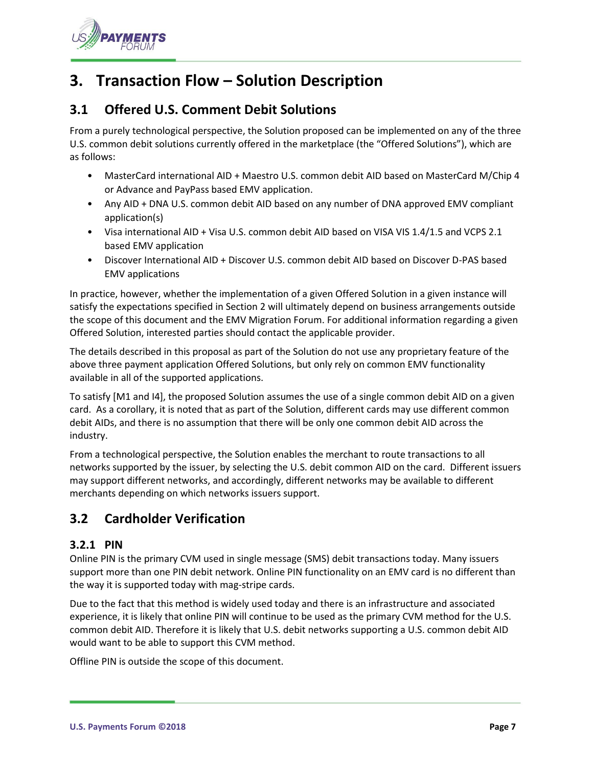

# <span id="page-6-0"></span>**3. Transaction Flow – Solution Description**

## <span id="page-6-1"></span>**3.1 Offered U.S. Comment Debit Solutions**

From a purely technological perspective, the Solution proposed can be implemented on any of the three U.S. common debit solutions currently offered in the marketplace (the "Offered Solutions"), which are as follows:

- MasterCard international AID + Maestro U.S. common debit AID based on MasterCard M/Chip 4 or Advance and PayPass based EMV application.
- Any AID + DNA U.S. common debit AID based on any number of DNA approved EMV compliant application(s)
- Visa international AID + Visa U.S. common debit AID based on VISA VIS 1.4/1.5 and VCPS 2.1 based EMV application
- Discover International AID + Discover U.S. common debit AID based on Discover D-PAS based EMV applications

In practice, however, whether the implementation of a given Offered Solution in a given instance will satisfy the expectations specified in Section 2 will ultimately depend on business arrangements outside the scope of this document and the EMV Migration Forum. For additional information regarding a given Offered Solution, interested parties should contact the applicable provider.

The details described in this proposal as part of the Solution do not use any proprietary feature of the above three payment application Offered Solutions, but only rely on common EMV functionality available in all of the supported applications.

To satisfy [M1 and I4], the proposed Solution assumes the use of a single common debit AID on a given card. As a corollary, it is noted that as part of the Solution, different cards may use different common debit AIDs, and there is no assumption that there will be only one common debit AID across the industry.

From a technological perspective, the Solution enables the merchant to route transactions to all networks supported by the issuer, by selecting the U.S. debit common AID on the card. Different issuers may support different networks, and accordingly, different networks may be available to different merchants depending on which networks issuers support.

# <span id="page-6-2"></span>**3.2 Cardholder Verification**

#### <span id="page-6-3"></span>**3.2.1 PIN**

Online PIN is the primary CVM used in single message (SMS) debit transactions today. Many issuers support more than one PIN debit network. Online PIN functionality on an EMV card is no different than the way it is supported today with mag-stripe cards.

Due to the fact that this method is widely used today and there is an infrastructure and associated experience, it is likely that online PIN will continue to be used as the primary CVM method for the U.S. common debit AID. Therefore it is likely that U.S. debit networks supporting a U.S. common debit AID would want to be able to support this CVM method.

Offline PIN is outside the scope of this document.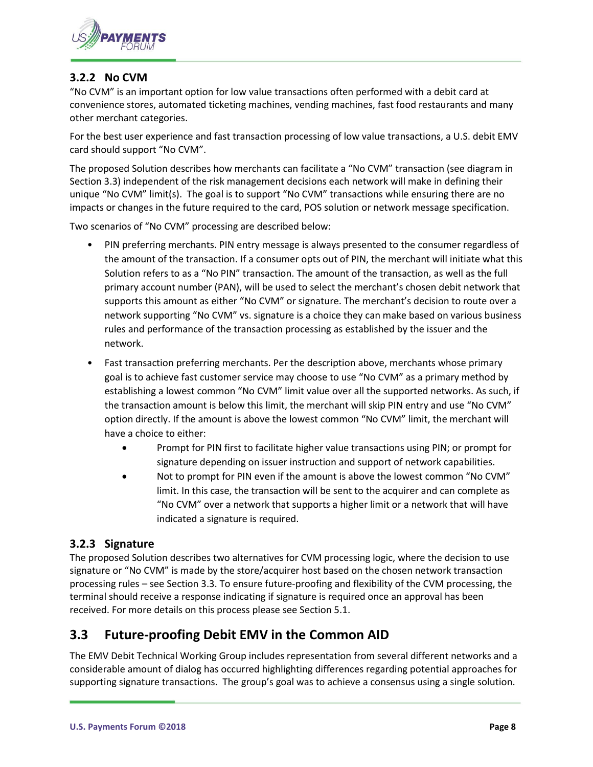

#### <span id="page-7-0"></span>**3.2.2 No CVM**

"No CVM" is an important option for low value transactions often performed with a debit card at convenience stores, automated ticketing machines, vending machines, fast food restaurants and many other merchant categories.

For the best user experience and fast transaction processing of low value transactions, a U.S. debit EMV card should support "No CVM".

The proposed Solution describes how merchants can facilitate a "No CVM" transaction (see diagram in Section 3.3) independent of the risk management decisions each network will make in defining their unique "No CVM" limit(s). The goal is to support "No CVM" transactions while ensuring there are no impacts or changes in the future required to the card, POS solution or network message specification.

Two scenarios of "No CVM" processing are described below:

- PIN preferring merchants. PIN entry message is always presented to the consumer regardless of the amount of the transaction. If a consumer opts out of PIN, the merchant will initiate what this Solution refers to as a "No PIN" transaction. The amount of the transaction, as well as the full primary account number (PAN), will be used to select the merchant's chosen debit network that supports this amount as either "No CVM" or signature. The merchant's decision to route over a network supporting "No CVM" vs. signature is a choice they can make based on various business rules and performance of the transaction processing as established by the issuer and the network.
- Fast transaction preferring merchants. Per the description above, merchants whose primary goal is to achieve fast customer service may choose to use "No CVM" as a primary method by establishing a lowest common "No CVM" limit value over all the supported networks. As such, if the transaction amount is below this limit, the merchant will skip PIN entry and use "No CVM" option directly. If the amount is above the lowest common "No CVM" limit, the merchant will have a choice to either:
	- Prompt for PIN first to facilitate higher value transactions using PIN; or prompt for signature depending on issuer instruction and support of network capabilities.
	- Not to prompt for PIN even if the amount is above the lowest common "No CVM" limit. In this case, the transaction will be sent to the acquirer and can complete as "No CVM" over a network that supports a higher limit or a network that will have indicated a signature is required.

#### <span id="page-7-1"></span>**3.2.3 Signature**

The proposed Solution describes two alternatives for CVM processing logic, where the decision to use signature or "No CVM" is made by the store/acquirer host based on the chosen network transaction processing rules – see Section 3.3. To ensure future-proofing and flexibility of the CVM processing, the terminal should receive a response indicating if signature is required once an approval has been received. For more details on this process please see Section 5.1.

## <span id="page-7-2"></span>**3.3 Future-proofing Debit EMV in the Common AID**

The EMV Debit Technical Working Group includes representation from several different networks and a considerable amount of dialog has occurred highlighting differences regarding potential approaches for supporting signature transactions. The group's goal was to achieve a consensus using a single solution.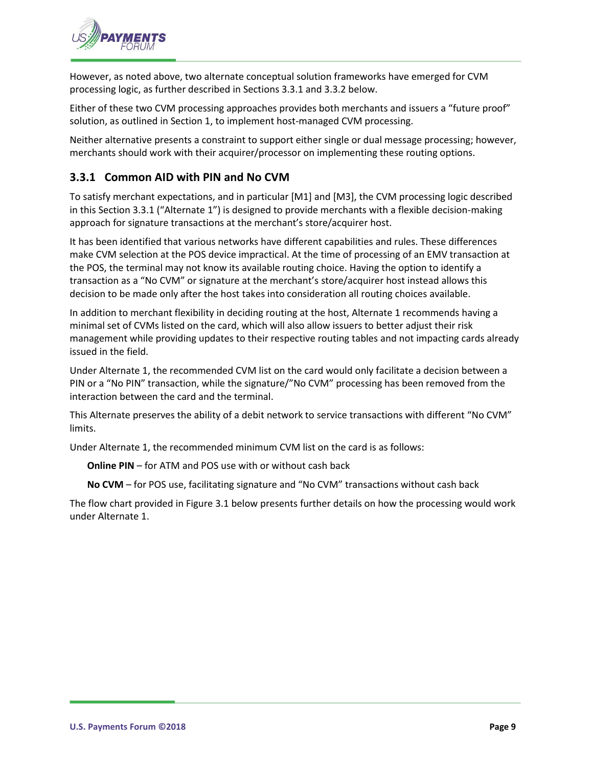

However, as noted above, two alternate conceptual solution frameworks have emerged for CVM processing logic, as further described in Sections 3.3.1 and 3.3.2 below.

Either of these two CVM processing approaches provides both merchants and issuers a "future proof" solution, as outlined in Section 1, to implement host-managed CVM processing.

Neither alternative presents a constraint to support either single or dual message processing; however, merchants should work with their acquirer/processor on implementing these routing options.

#### <span id="page-8-0"></span>**3.3.1 Common AID with PIN and No CVM**

To satisfy merchant expectations, and in particular [M1] and [M3], the CVM processing logic described in this Section 3.3.1 ("Alternate 1") is designed to provide merchants with a flexible decision-making approach for signature transactions at the merchant's store/acquirer host.

It has been identified that various networks have different capabilities and rules. These differences make CVM selection at the POS device impractical. At the time of processing of an EMV transaction at the POS, the terminal may not know its available routing choice. Having the option to identify a transaction as a "No CVM" or signature at the merchant's store/acquirer host instead allows this decision to be made only after the host takes into consideration all routing choices available.

In addition to merchant flexibility in deciding routing at the host, Alternate 1 recommends having a minimal set of CVMs listed on the card, which will also allow issuers to better adjust their risk management while providing updates to their respective routing tables and not impacting cards already issued in the field.

Under Alternate 1, the recommended CVM list on the card would only facilitate a decision between a PIN or a "No PIN" transaction, while the signature/"No CVM" processing has been removed from the interaction between the card and the terminal.

This Alternate preserves the ability of a debit network to service transactions with different "No CVM" limits.

Under Alternate 1, the recommended minimum CVM list on the card is as follows:

**Online PIN** – for ATM and POS use with or without cash back

**No CVM** – for POS use, facilitating signature and "No CVM" transactions without cash back

The flow chart provided in Figure 3.1 below presents further details on how the processing would work under Alternate 1.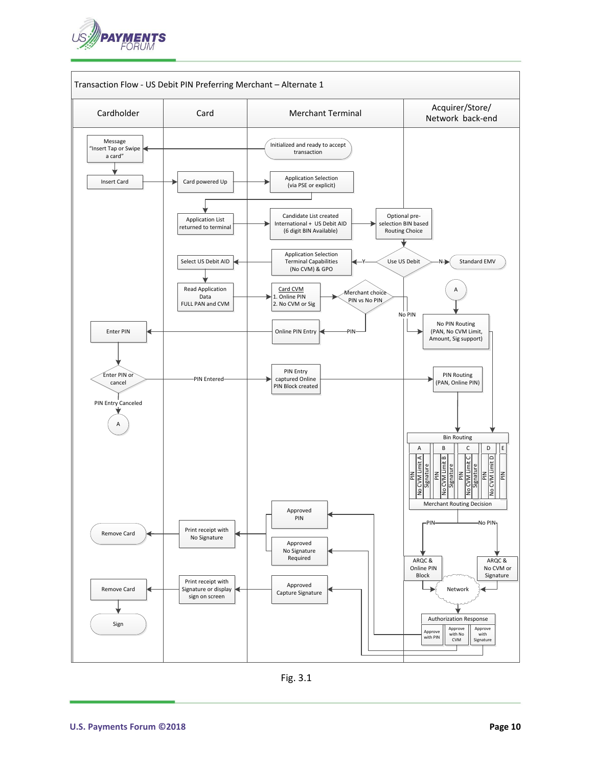



Fig. 3.1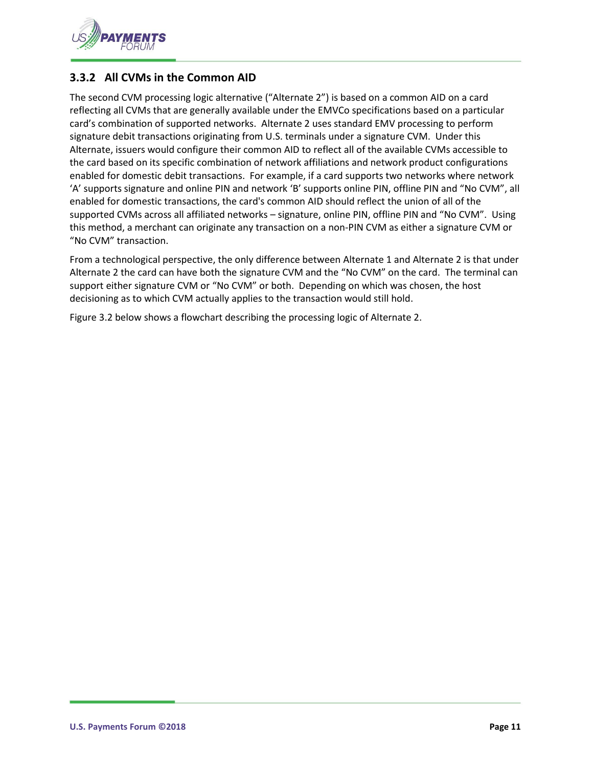

#### <span id="page-10-0"></span>**3.3.2 All CVMs in the Common AID**

The second CVM processing logic alternative ("Alternate 2") is based on a common AID on a card reflecting all CVMs that are generally available under the EMVCo specifications based on a particular card's combination of supported networks. Alternate 2 uses standard EMV processing to perform signature debit transactions originating from U.S. terminals under a signature CVM. Under this Alternate, issuers would configure their common AID to reflect all of the available CVMs accessible to the card based on its specific combination of network affiliations and network product configurations enabled for domestic debit transactions. For example, if a card supports two networks where network 'A' supports signature and online PIN and network 'B' supports online PIN, offline PIN and "No CVM", all enabled for domestic transactions, the card's common AID should reflect the union of all of the supported CVMs across all affiliated networks – signature, online PIN, offline PIN and "No CVM". Using this method, a merchant can originate any transaction on a non-PIN CVM as either a signature CVM or "No CVM" transaction.

From a technological perspective, the only difference between Alternate 1 and Alternate 2 is that under Alternate 2 the card can have both the signature CVM and the "No CVM" on the card. The terminal can support either signature CVM or "No CVM" or both. Depending on which was chosen, the host decisioning as to which CVM actually applies to the transaction would still hold.

Figure 3.2 below shows a flowchart describing the processing logic of Alternate 2.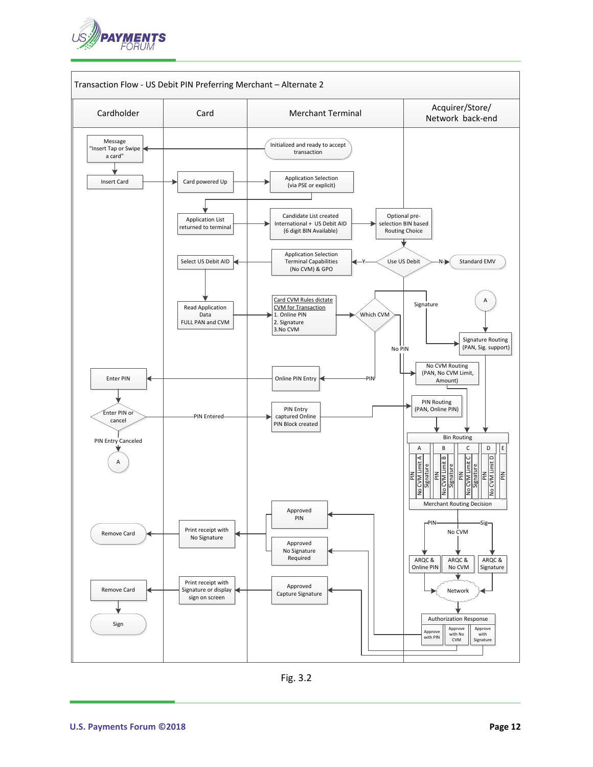



Fig. 3.2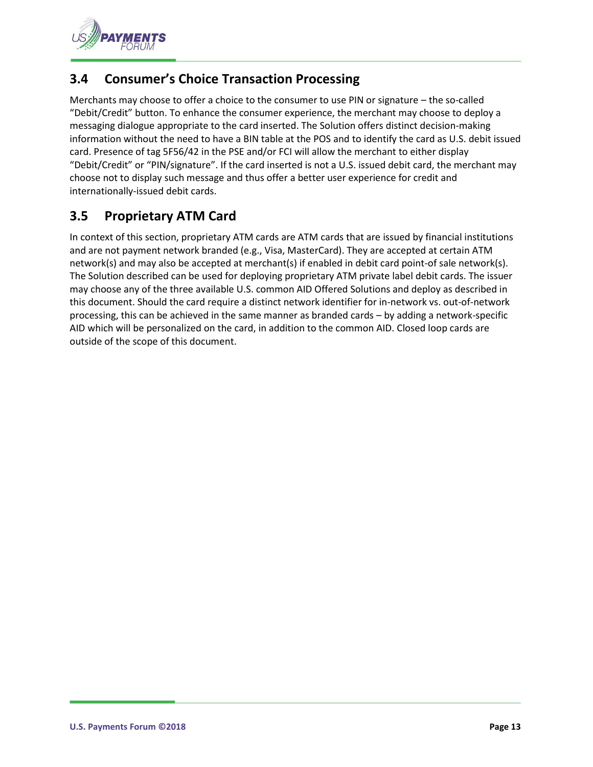

# <span id="page-12-0"></span>**3.4 Consumer's Choice Transaction Processing**

Merchants may choose to offer a choice to the consumer to use PIN or signature – the so-called "Debit/Credit" button. To enhance the consumer experience, the merchant may choose to deploy a messaging dialogue appropriate to the card inserted. The Solution offers distinct decision-making information without the need to have a BIN table at the POS and to identify the card as U.S. debit issued card. Presence of tag 5F56/42 in the PSE and/or FCI will allow the merchant to either display "Debit/Credit" or "PIN/signature". If the card inserted is not a U.S. issued debit card, the merchant may choose not to display such message and thus offer a better user experience for credit and internationally-issued debit cards.

# <span id="page-12-1"></span>**3.5 Proprietary ATM Card**

In context of this section, proprietary ATM cards are ATM cards that are issued by financial institutions and are not payment network branded (e.g., Visa, MasterCard). They are accepted at certain ATM network(s) and may also be accepted at merchant(s) if enabled in debit card point-of sale network(s). The Solution described can be used for deploying proprietary ATM private label debit cards. The issuer may choose any of the three available U.S. common AID Offered Solutions and deploy as described in this document. Should the card require a distinct network identifier for in-network vs. out-of-network processing, this can be achieved in the same manner as branded cards – by adding a network-specific AID which will be personalized on the card, in addition to the common AID. Closed loop cards are outside of the scope of this document.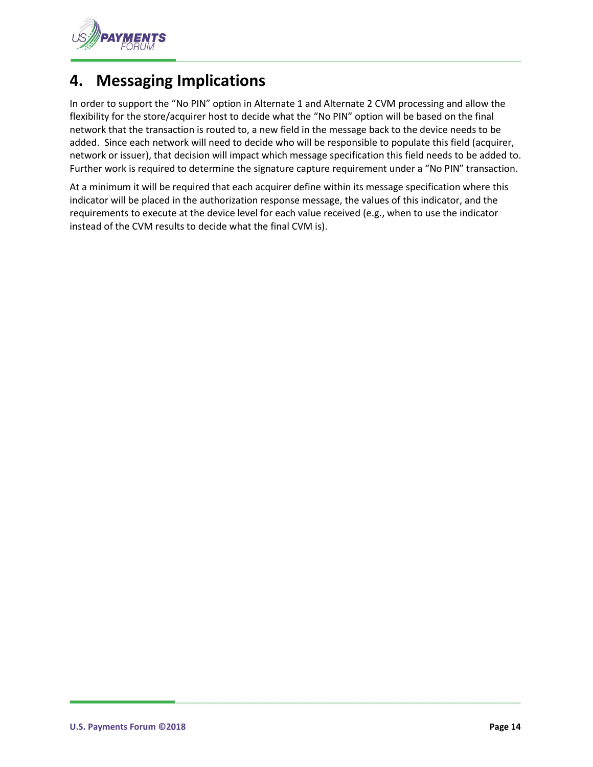

# <span id="page-13-0"></span>**4. Messaging Implications**

In order to support the "No PIN" option in Alternate 1 and Alternate 2 CVM processing and allow the flexibility for the store/acquirer host to decide what the "No PIN" option will be based on the final network that the transaction is routed to, a new field in the message back to the device needs to be added. Since each network will need to decide who will be responsible to populate this field (acquirer, network or issuer), that decision will impact which message specification this field needs to be added to. Further work is required to determine the signature capture requirement under a "No PIN" transaction.

At a minimum it will be required that each acquirer define within its message specification where this indicator will be placed in the authorization response message, the values of this indicator, and the requirements to execute at the device level for each value received (e.g., when to use the indicator instead of the CVM results to decide what the final CVM is).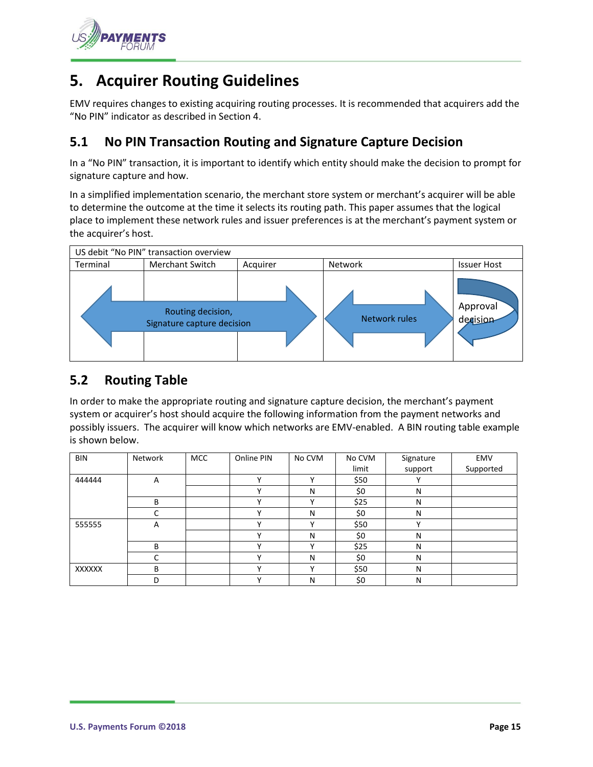

# <span id="page-14-0"></span>**5. Acquirer Routing Guidelines**

EMV requires changes to existing acquiring routing processes. It is recommended that acquirers add the "No PIN" indicator as described in Section 4.

## <span id="page-14-1"></span>**5.1 No PIN Transaction Routing and Signature Capture Decision**

In a "No PIN" transaction, it is important to identify which entity should make the decision to prompt for signature capture and how.

In a simplified implementation scenario, the merchant store system or merchant's acquirer will be able to determine the outcome at the time it selects its routing path. This paper assumes that the logical place to implement these network rules and issuer preferences is at the merchant's payment system or the acquirer's host.



#### <span id="page-14-2"></span>**5.2 Routing Table**

In order to make the appropriate routing and signature capture decision, the merchant's payment system or acquirer's host should acquire the following information from the payment networks and possibly issuers. The acquirer will know which networks are EMV-enabled. A BIN routing table example is shown below.

| <b>BIN</b>    | Network | <b>MCC</b> | Online PIN   | No CVM       | No CVM | Signature    | EMV       |
|---------------|---------|------------|--------------|--------------|--------|--------------|-----------|
|               |         |            |              |              | limit  | support      | Supported |
| 444444        | Α       |            | $\checkmark$ | $\mathbf v$  | \$50   | v            |           |
|               |         |            | $\mathbf{v}$ | N            | \$0    | N            |           |
|               | В       |            | v            | $\checkmark$ | \$25   | N            |           |
|               | C       |            | v            | N            | \$0    | N            |           |
| 555555        | Α       |            | v            |              | \$50   | $\checkmark$ |           |
|               |         |            | v            | N            | \$0    | N            |           |
|               | B       |            | v            | v            | \$25   | N            |           |
|               |         |            | v            | N            | \$0    | N            |           |
| <b>XXXXXX</b> | В       |            |              |              | \$50   | N            |           |
|               | D       |            | $\cdot$      | N            | \$0    | N            |           |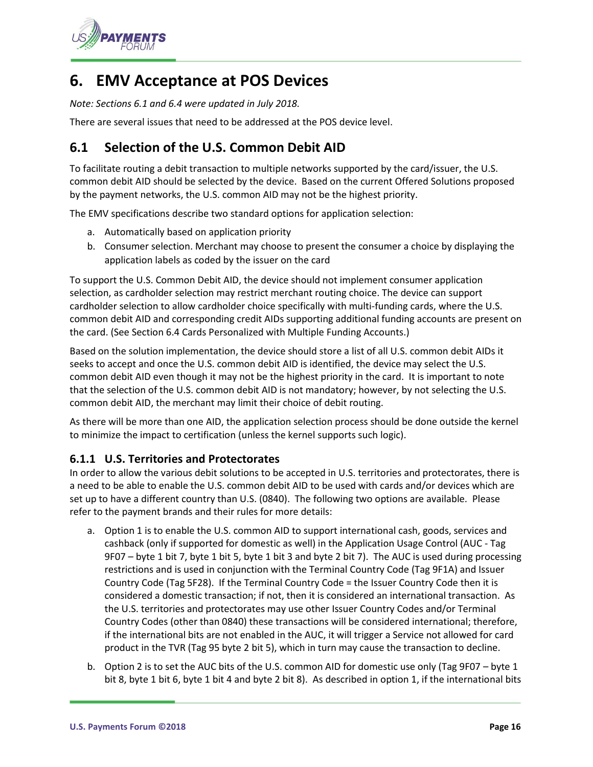

# <span id="page-15-0"></span>**6. EMV Acceptance at POS Devices**

*Note: Sections 6.1 and 6.4 were updated in July 2018.*

There are several issues that need to be addressed at the POS device level.

# <span id="page-15-1"></span>**6.1 Selection of the U.S. Common Debit AID**

To facilitate routing a debit transaction to multiple networks supported by the card/issuer, the U.S. common debit AID should be selected by the device. Based on the current Offered Solutions proposed by the payment networks, the U.S. common AID may not be the highest priority.

The EMV specifications describe two standard options for application selection:

- a. Automatically based on application priority
- b. Consumer selection. Merchant may choose to present the consumer a choice by displaying the application labels as coded by the issuer on the card

To support the U.S. Common Debit AID, the device should not implement consumer application selection, as cardholder selection may restrict merchant routing choice. The device can support cardholder selection to allow cardholder choice specifically with multi-funding cards, where the U.S. common debit AID and corresponding credit AIDs supporting additional funding accounts are present on the card. (See Section 6.4 Cards Personalized with Multiple Funding Accounts.)

Based on the solution implementation, the device should store a list of all U.S. common debit AIDs it seeks to accept and once the U.S. common debit AID is identified, the device may select the U.S. common debit AID even though it may not be the highest priority in the card. It is important to note that the selection of the U.S. common debit AID is not mandatory; however, by not selecting the U.S. common debit AID, the merchant may limit their choice of debit routing.

As there will be more than one AID, the application selection process should be done outside the kernel to minimize the impact to certification (unless the kernel supports such logic).

#### <span id="page-15-2"></span>**6.1.1 U.S. Territories and Protectorates**

In order to allow the various debit solutions to be accepted in U.S. territories and protectorates, there is a need to be able to enable the U.S. common debit AID to be used with cards and/or devices which are set up to have a different country than U.S. (0840). The following two options are available. Please refer to the payment brands and their rules for more details:

- a. Option 1 is to enable the U.S. common AID to support international cash, goods, services and cashback (only if supported for domestic as well) in the Application Usage Control (AUC - Tag 9F07 – byte 1 bit 7, byte 1 bit 5, byte 1 bit 3 and byte 2 bit 7). The AUC is used during processing restrictions and is used in conjunction with the Terminal Country Code (Tag 9F1A) and Issuer Country Code (Tag 5F28). If the Terminal Country Code = the Issuer Country Code then it is considered a domestic transaction; if not, then it is considered an international transaction. As the U.S. territories and protectorates may use other Issuer Country Codes and/or Terminal Country Codes (other than 0840) these transactions will be considered international; therefore, if the international bits are not enabled in the AUC, it will trigger a Service not allowed for card product in the TVR (Tag 95 byte 2 bit 5), which in turn may cause the transaction to decline.
- b. Option 2 is to set the AUC bits of the U.S. common AID for domestic use only (Tag 9F07 byte 1 bit 8, byte 1 bit 6, byte 1 bit 4 and byte 2 bit 8). As described in option 1, if the international bits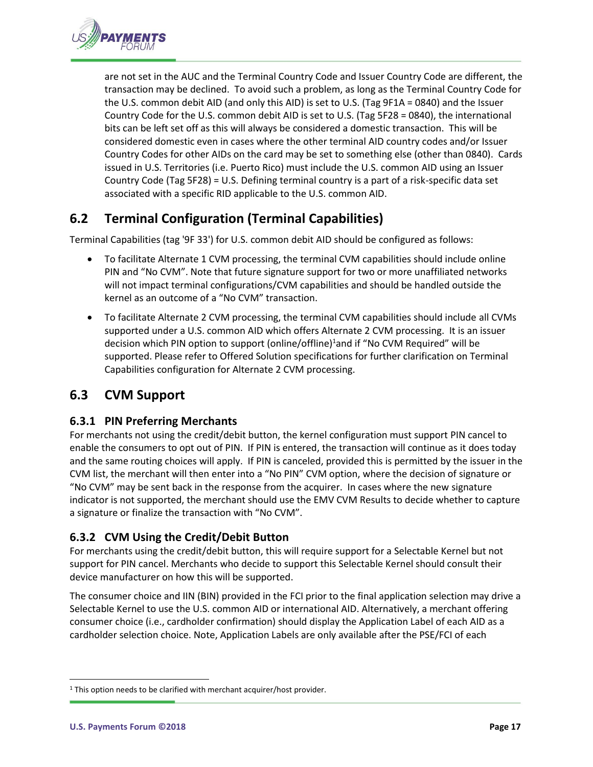

are not set in the AUC and the Terminal Country Code and Issuer Country Code are different, the transaction may be declined. To avoid such a problem, as long as the Terminal Country Code for the U.S. common debit AID (and only this AID) is set to U.S. (Tag 9F1A = 0840) and the Issuer Country Code for the U.S. common debit AID is set to U.S. (Tag 5F28 = 0840), the international bits can be left set off as this will always be considered a domestic transaction. This will be considered domestic even in cases where the other terminal AID country codes and/or Issuer Country Codes for other AIDs on the card may be set to something else (other than 0840). Cards issued in U.S. Territories (i.e. Puerto Rico) must include the U.S. common AID using an Issuer Country Code (Tag 5F28) = U.S. Defining terminal country is a part of a risk-specific data set associated with a specific RID applicable to the U.S. common AID.

# <span id="page-16-0"></span>**6.2 Terminal Configuration (Terminal Capabilities)**

Terminal Capabilities (tag '9F 33') for U.S. common debit AID should be configured as follows:

- To facilitate Alternate 1 CVM processing, the terminal CVM capabilities should include online PIN and "No CVM". Note that future signature support for two or more unaffiliated networks will not impact terminal configurations/CVM capabilities and should be handled outside the kernel as an outcome of a "No CVM" transaction.
- To facilitate Alternate 2 CVM processing, the terminal CVM capabilities should include all CVMs supported under a U.S. common AID which offers Alternate 2 CVM processing. It is an issuer decision which PIN option to support (online/offline)<sup>1</sup>and if "No CVM Required" will be supported. Please refer to Offered Solution specifications for further clarification on Terminal Capabilities configuration for Alternate 2 CVM processing.

## <span id="page-16-1"></span>**6.3 CVM Support**

#### <span id="page-16-2"></span>**6.3.1 PIN Preferring Merchants**

For merchants not using the credit/debit button, the kernel configuration must support PIN cancel to enable the consumers to opt out of PIN. If PIN is entered, the transaction will continue as it does today and the same routing choices will apply. If PIN is canceled, provided this is permitted by the issuer in the CVM list, the merchant will then enter into a "No PIN" CVM option, where the decision of signature or "No CVM" may be sent back in the response from the acquirer. In cases where the new signature indicator is not supported, the merchant should use the EMV CVM Results to decide whether to capture a signature or finalize the transaction with "No CVM".

#### <span id="page-16-3"></span>**6.3.2 CVM Using the Credit/Debit Button**

For merchants using the credit/debit button, this will require support for a Selectable Kernel but not support for PIN cancel. Merchants who decide to support this Selectable Kernel should consult their device manufacturer on how this will be supported.

The consumer choice and IIN (BIN) provided in the FCI prior to the final application selection may drive a Selectable Kernel to use the U.S. common AID or international AID. Alternatively, a merchant offering consumer choice (i.e., cardholder confirmation) should display the Application Label of each AID as a cardholder selection choice. Note, Application Labels are only available after the PSE/FCI of each

 $\overline{a}$ 

<sup>&</sup>lt;sup>1</sup> This option needs to be clarified with merchant acquirer/host provider.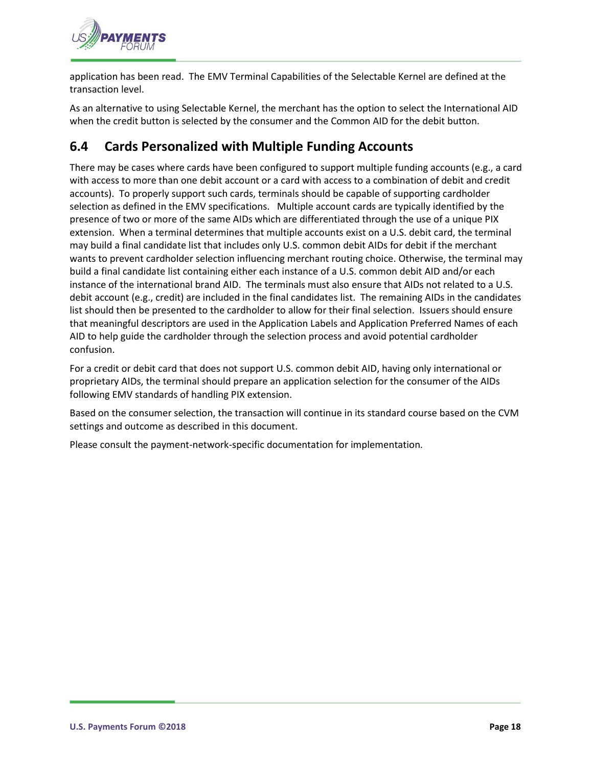

application has been read. The EMV Terminal Capabilities of the Selectable Kernel are defined at the transaction level.

As an alternative to using Selectable Kernel, the merchant has the option to select the International AID when the credit button is selected by the consumer and the Common AID for the debit button.

# <span id="page-17-0"></span>**6.4 Cards Personalized with Multiple Funding Accounts**

There may be cases where cards have been configured to support multiple funding accounts (e.g., a card with access to more than one debit account or a card with access to a combination of debit and credit accounts). To properly support such cards, terminals should be capable of supporting cardholder selection as defined in the EMV specifications. Multiple account cards are typically identified by the presence of two or more of the same AIDs which are differentiated through the use of a unique PIX extension. When a terminal determines that multiple accounts exist on a U.S. debit card, the terminal may build a final candidate list that includes only U.S. common debit AIDs for debit if the merchant wants to prevent cardholder selection influencing merchant routing choice. Otherwise, the terminal may build a final candidate list containing either each instance of a U.S. common debit AID and/or each instance of the international brand AID. The terminals must also ensure that AIDs not related to a U.S. debit account (e.g., credit) are included in the final candidates list. The remaining AIDs in the candidates list should then be presented to the cardholder to allow for their final selection. Issuers should ensure that meaningful descriptors are used in the Application Labels and Application Preferred Names of each AID to help guide the cardholder through the selection process and avoid potential cardholder confusion.

For a credit or debit card that does not support U.S. common debit AID, having only international or proprietary AIDs, the terminal should prepare an application selection for the consumer of the AIDs following EMV standards of handling PIX extension.

Based on the consumer selection, the transaction will continue in its standard course based on the CVM settings and outcome as described in this document.

Please consult the payment-network-specific documentation for implementation.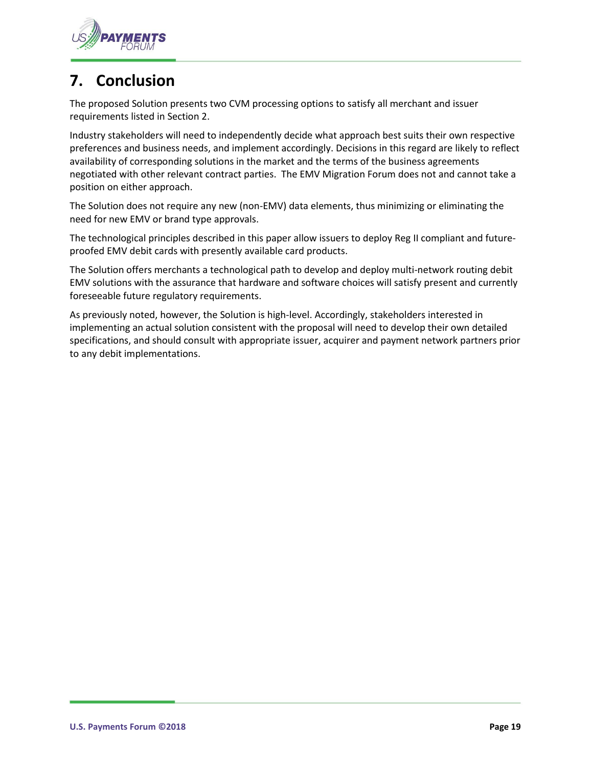

# <span id="page-18-0"></span>**7. Conclusion**

The proposed Solution presents two CVM processing options to satisfy all merchant and issuer requirements listed in Section 2.

Industry stakeholders will need to independently decide what approach best suits their own respective preferences and business needs, and implement accordingly. Decisions in this regard are likely to reflect availability of corresponding solutions in the market and the terms of the business agreements negotiated with other relevant contract parties. The EMV Migration Forum does not and cannot take a position on either approach.

The Solution does not require any new (non-EMV) data elements, thus minimizing or eliminating the need for new EMV or brand type approvals.

The technological principles described in this paper allow issuers to deploy Reg II compliant and futureproofed EMV debit cards with presently available card products.

The Solution offers merchants a technological path to develop and deploy multi-network routing debit EMV solutions with the assurance that hardware and software choices will satisfy present and currently foreseeable future regulatory requirements.

As previously noted, however, the Solution is high-level. Accordingly, stakeholders interested in implementing an actual solution consistent with the proposal will need to develop their own detailed specifications, and should consult with appropriate issuer, acquirer and payment network partners prior to any debit implementations.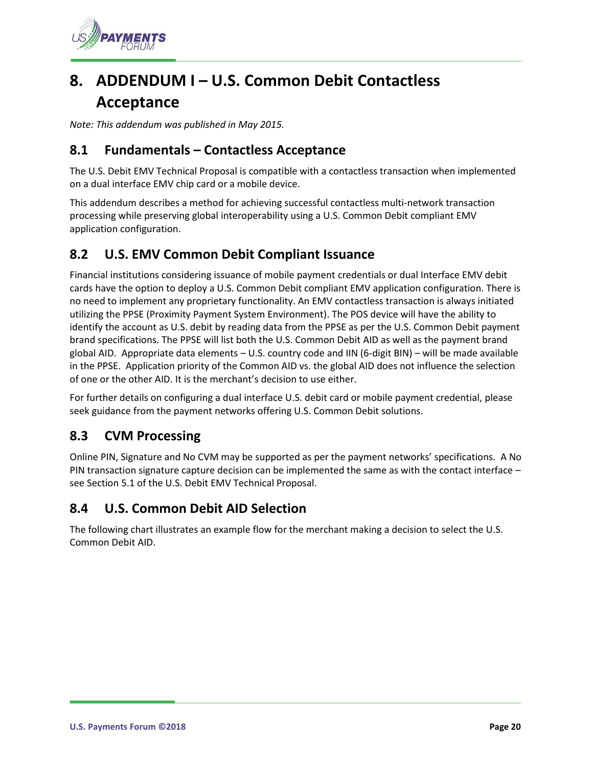

# <span id="page-19-0"></span>**8. ADDENDUM I – U.S. Common Debit Contactless Acceptance**

*Note: This addendum was published in May 2015.*

#### <span id="page-19-1"></span>**8.1 Fundamentals – Contactless Acceptance**

The U.S. Debit EMV Technical Proposal is compatible with a contactless transaction when implemented on a dual interface EMV chip card or a mobile device.

This addendum describes a method for achieving successful contactless multi-network transaction processing while preserving global interoperability using a U.S. Common Debit compliant EMV application configuration.

## <span id="page-19-2"></span>**8.2 U.S. EMV Common Debit Compliant Issuance**

Financial institutions considering issuance of mobile payment credentials or dual Interface EMV debit cards have the option to deploy a U.S. Common Debit compliant EMV application configuration. There is no need to implement any proprietary functionality. An EMV contactless transaction is always initiated utilizing the PPSE (Proximity Payment System Environment). The POS device will have the ability to identify the account as U.S. debit by reading data from the PPSE as per the U.S. Common Debit payment brand specifications. The PPSE will list both the U.S. Common Debit AID as well as the payment brand global AID. Appropriate data elements – U.S. country code and IIN (6-digit BIN) – will be made available in the PPSE. Application priority of the Common AID vs. the global AID does not influence the selection of one or the other AID. It is the merchant's decision to use either.

For further details on configuring a dual interface U.S. debit card or mobile payment credential, please seek guidance from the payment networks offering U.S. Common Debit solutions.

## <span id="page-19-3"></span>**8.3 CVM Processing**

Online PIN, Signature and No CVM may be supported as per the payment networks' specifications. A No PIN transaction signature capture decision can be implemented the same as with the contact interface – see Section [5.1](#page-14-1) of the U.S. Debit EMV Technical Proposal.

#### <span id="page-19-4"></span>**8.4 U.S. Common Debit AID Selection**

The following chart illustrates an example flow for the merchant making a decision to select the U.S. Common Debit AID.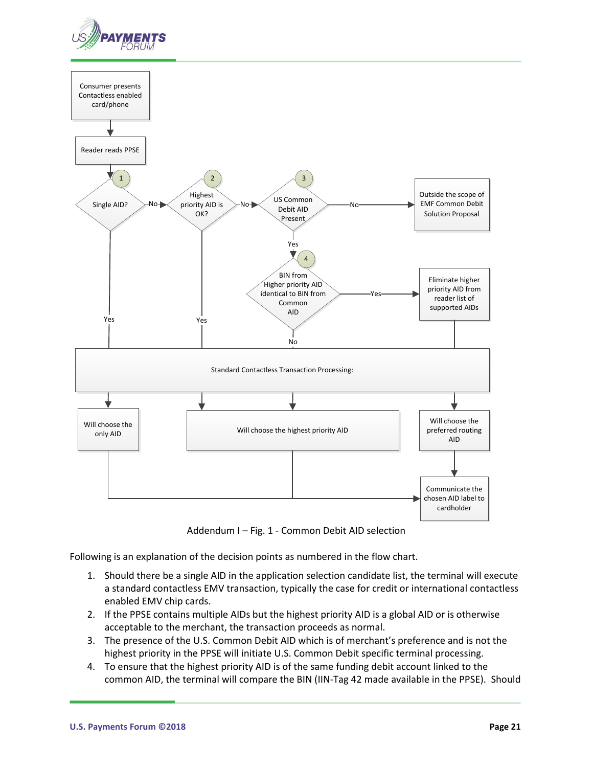



Addendum I – Fig. 1 - Common Debit AID selection

Following is an explanation of the decision points as numbered in the flow chart.

- 1. Should there be a single AID in the application selection candidate list, the terminal will execute a standard contactless EMV transaction, typically the case for credit or international contactless enabled EMV chip cards.
- 2. If the PPSE contains multiple AIDs but the highest priority AID is a global AID or is otherwise acceptable to the merchant, the transaction proceeds as normal.
- 3. The presence of the U.S. Common Debit AID which is of merchant's preference and is not the highest priority in the PPSE will initiate U.S. Common Debit specific terminal processing.
- 4. To ensure that the highest priority AID is of the same funding debit account linked to the common AID, the terminal will compare the BIN (IIN-Tag 42 made available in the PPSE). Should